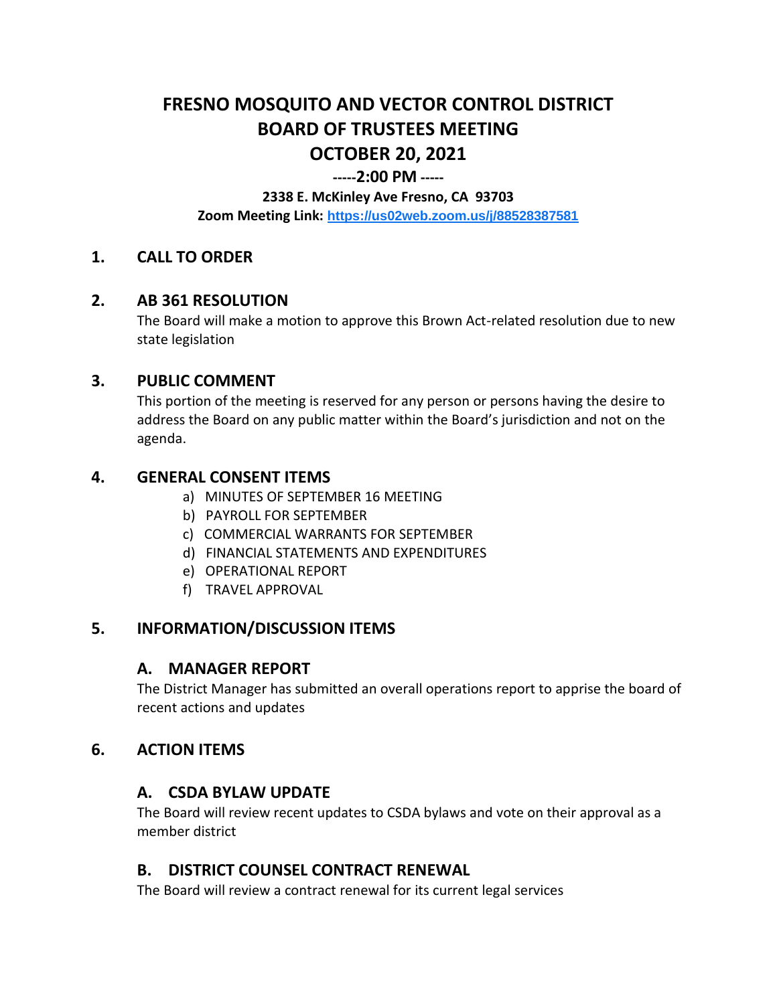# **FRESNO MOSQUITO AND VECTOR CONTROL DISTRICT BOARD OF TRUSTEES MEETING OCTOBER 20, 2021**

## **-----2:00 PM -----**

**2338 E. McKinley Ave Fresno, CA 93703**

**Zoom Meeting Link: <https://us02web.zoom.us/j/88528387581>**

## **1. CALL TO ORDER**

#### **2. AB 361 RESOLUTION**

The Board will make a motion to approve this Brown Act-related resolution due to new state legislation

#### **3. PUBLIC COMMENT**

This portion of the meeting is reserved for any person or persons having the desire to address the Board on any public matter within the Board's jurisdiction and not on the agenda.

## **4. GENERAL CONSENT ITEMS**

- a) MINUTES OF SEPTEMBER 16 MEETING
- b) PAYROLL FOR SEPTEMBER
- c) COMMERCIAL WARRANTS FOR SEPTEMBER
- d) FINANCIAL STATEMENTS AND EXPENDITURES
- e) OPERATIONAL REPORT
- f) TRAVEL APPROVAL

## **5. INFORMATION/DISCUSSION ITEMS**

#### **A. MANAGER REPORT**

The District Manager has submitted an overall operations report to apprise the board of recent actions and updates

#### **6. ACTION ITEMS**

#### **A. CSDA BYLAW UPDATE**

The Board will review recent updates to CSDA bylaws and vote on their approval as a member district

#### **B. DISTRICT COUNSEL CONTRACT RENEWAL**

The Board will review a contract renewal for its current legal services